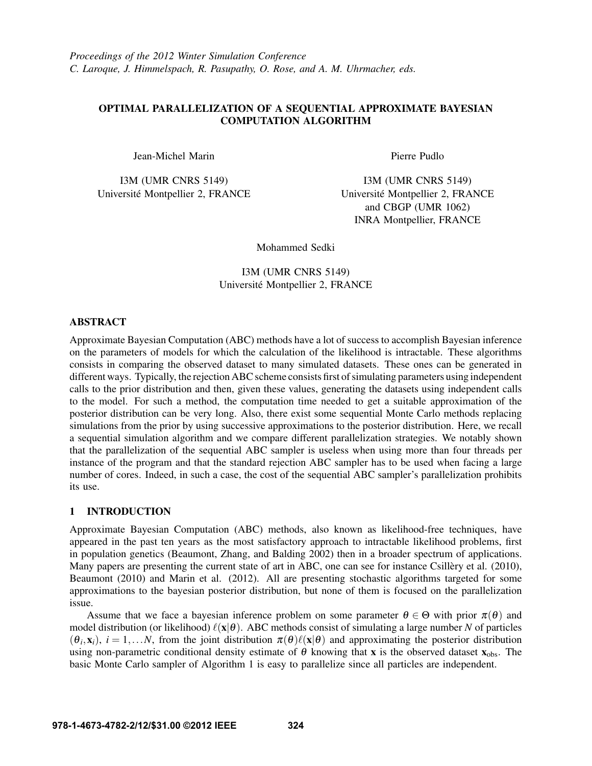# OPTIMAL PARALLELIZATION OF A SEQUENTIAL APPROXIMATE BAYESIAN COMPUTATION ALGORITHM

Jean-Michel Marin

I3M (UMR CNRS 5149) Universite Montpellier 2, FRANCE ´ Pierre Pudlo

I3M (UMR CNRS 5149) Universite Montpellier 2, FRANCE ´ and CBGP (UMR 1062) INRA Montpellier, FRANCE

Mohammed Sedki

I3M (UMR CNRS 5149) Universite Montpellier 2, FRANCE ´

# ABSTRACT

Approximate Bayesian Computation (ABC) methods have a lot of success to accomplish Bayesian inference on the parameters of models for which the calculation of the likelihood is intractable. These algorithms consists in comparing the observed dataset to many simulated datasets. These ones can be generated in different ways. Typically, the rejection ABC scheme consists first of simulating parameters using independent calls to the prior distribution and then, given these values, generating the datasets using independent calls to the model. For such a method, the computation time needed to get a suitable approximation of the posterior distribution can be very long. Also, there exist some sequential Monte Carlo methods replacing simulations from the prior by using successive approximations to the posterior distribution. Here, we recall a sequential simulation algorithm and we compare different parallelization strategies. We notably shown that the parallelization of the sequential ABC sampler is useless when using more than four threads per instance of the program and that the standard rejection ABC sampler has to be used when facing a large number of cores. Indeed, in such a case, the cost of the sequential ABC sampler's parallelization prohibits its use.

# 1 INTRODUCTION

Approximate Bayesian Computation (ABC) methods, also known as likelihood-free techniques, have appeared in the past ten years as the most satisfactory approach to intractable likelihood problems, first in population genetics (Beaumont, Zhang, and Balding 2002) then in a broader spectrum of applications. Many papers are presenting the current state of art in ABC, one can see for instance Csillery et al. (2010), Beaumont (2010) and Marin et al. (2012). All are presenting stochastic algorithms targeted for some approximations to the bayesian posterior distribution, but none of them is focused on the parallelization issue.

Assume that we face a bayesian inference problem on some parameter  $\theta \in \Theta$  with prior  $\pi(\theta)$  and model distribution (or likelihood)  $\ell(x|\theta)$ . ABC methods consist of simulating a large number *N* of particles  $(\theta_i, \mathbf{x}_i)$ ,  $i = 1,...N$ , from the joint distribution  $\pi(\theta)\ell(\mathbf{x}|\theta)$  and approximating the posterior distribution using non-parametric conditional density estimate of  $\theta$  knowing that x is the observed dataset  $x_{\text{obs}}$ . The basic Monte Carlo sampler of Algorithm 1 is easy to parallelize since all particles are independent.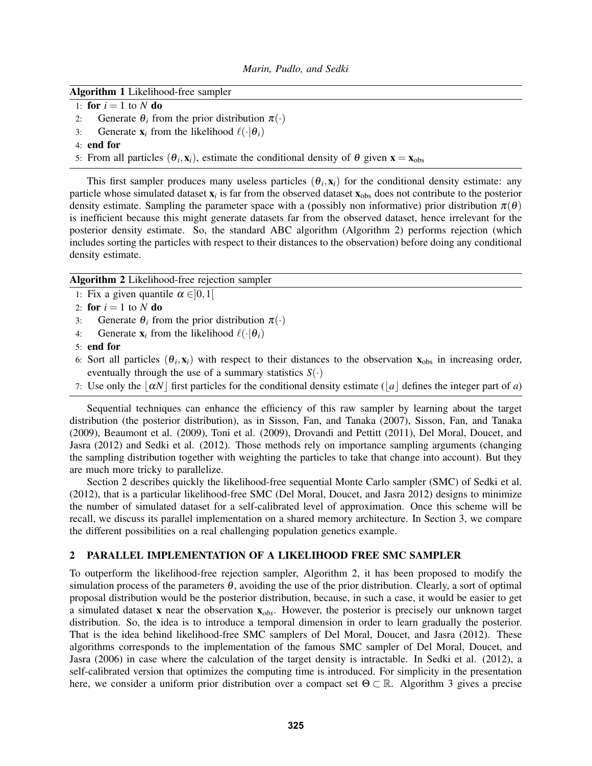#### Algorithm 1 Likelihood-free sampler

- 1: **for**  $i = 1$  to  $N$  do
- 2: Generate  $\theta_i$  from the prior distribution  $\pi(\cdot)$
- 3: Generate  $\mathbf{x}_i$  from the likelihood  $\ell(\cdot|\theta_i)$
- 4: end for
- 5: From all particles  $(\theta_i, \mathbf{x}_i)$ , estimate the conditional density of  $\theta$  given  $\mathbf{x} = \mathbf{x}_{obs}$

This first sampler produces many useless particles  $(\theta_i, \mathbf{x}_i)$  for the conditional density estimate: any particle whose simulated dataset  $x_i$  is far from the observed dataset  $x_{obs}$  does not contribute to the posterior density estimate. Sampling the parameter space with a (possibly non informative) prior distribution  $\pi(\theta)$ is inefficient because this might generate datasets far from the observed dataset, hence irrelevant for the posterior density estimate. So, the standard ABC algorithm (Algorithm 2) performs rejection (which includes sorting the particles with respect to their distances to the observation) before doing any conditional density estimate.

Algorithm 2 Likelihood-free rejection sampler

- 1: Fix a given quantile  $\alpha \in ]0,1[$
- 2: **for**  $i = 1$  to  $N$  do
- 3: Generate  $\theta_i$  from the prior distribution  $\pi(\cdot)$
- 4: Generate  $\mathbf{x}_i$  from the likelihood  $\ell(\cdot|\boldsymbol{\theta}_i)$
- 5: end for
- 6: Sort all particles  $(\theta_i, \mathbf{x}_i)$  with respect to their distances to the observation  $\mathbf{x}_{obs}$  in increasing order, eventually through the use of a summary statistics  $S(\cdot)$
- 7: Use only the  $|\alpha N|$  first particles for the conditional density estimate ( $|a|$  defines the integer part of *a*)

Sequential techniques can enhance the efficiency of this raw sampler by learning about the target distribution (the posterior distribution), as in Sisson, Fan, and Tanaka (2007), Sisson, Fan, and Tanaka (2009), Beaumont et al. (2009), Toni et al. (2009), Drovandi and Pettitt (2011), Del Moral, Doucet, and Jasra (2012) and Sedki et al. (2012). Those methods rely on importance sampling arguments (changing the sampling distribution together with weighting the particles to take that change into account). But they are much more tricky to parallelize.

Section 2 describes quickly the likelihood-free sequential Monte Carlo sampler (SMC) of Sedki et al. (2012), that is a particular likelihood-free SMC (Del Moral, Doucet, and Jasra 2012) designs to minimize the number of simulated dataset for a self-calibrated level of approximation. Once this scheme will be recall, we discuss its parallel implementation on a shared memory architecture. In Section 3, we compare the different possibilities on a real challenging population genetics example.

### 2 PARALLEL IMPLEMENTATION OF A LIKELIHOOD FREE SMC SAMPLER

To outperform the likelihood-free rejection sampler, Algorithm 2, it has been proposed to modify the simulation process of the parameters  $\theta$ , avoiding the use of the prior distribution. Clearly, a sort of optimal proposal distribution would be the posterior distribution, because, in such a case, it would be easier to get a simulated dataset x near the observation x*obs*. However, the posterior is precisely our unknown target distribution. So, the idea is to introduce a temporal dimension in order to learn gradually the posterior. That is the idea behind likelihood-free SMC samplers of Del Moral, Doucet, and Jasra (2012). These algorithms corresponds to the implementation of the famous SMC sampler of Del Moral, Doucet, and Jasra (2006) in case where the calculation of the target density is intractable. In Sedki et al. (2012), a self-calibrated version that optimizes the computing time is introduced. For simplicity in the presentation here, we consider a uniform prior distribution over a compact set  $\Theta \subset \mathbb{R}$ . Algorithm 3 gives a precise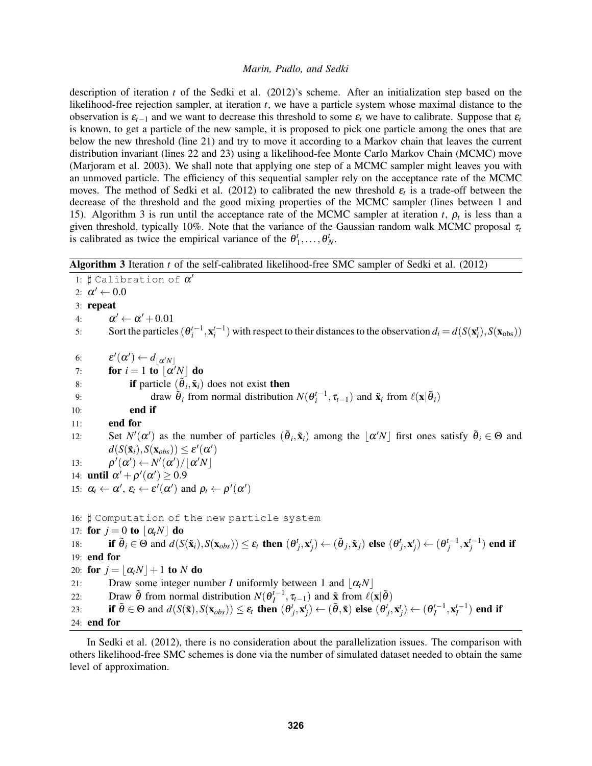description of iteration *t* of the Sedki et al. (2012)'s scheme. After an initialization step based on the likelihood-free rejection sampler, at iteration *t*, we have a particle system whose maximal distance to the observation is  $\varepsilon_{t-1}$  and we want to decrease this threshold to some  $\varepsilon_t$  we have to calibrate. Suppose that  $\varepsilon_t$ is known, to get a particle of the new sample, it is proposed to pick one particle among the ones that are below the new threshold (line 21) and try to move it according to a Markov chain that leaves the current distribution invariant (lines 22 and 23) using a likelihood-fee Monte Carlo Markov Chain (MCMC) move (Marjoram et al. 2003). We shall note that applying one step of a MCMC sampler might leaves you with an unmoved particle. The efficiency of this sequential sampler rely on the acceptance rate of the MCMC moves. The method of Sedki et al. (2012) to calibrated the new threshold  $\varepsilon_t$  is a trade-off between the decrease of the threshold and the good mixing properties of the MCMC sampler (lines between 1 and 15). Algorithm 3 is run until the acceptance rate of the MCMC sampler at iteration *t*,  $\rho_t$  is less than a given threshold, typically 10%. Note that the variance of the Gaussian random walk MCMC proposal  $\tau_t$ is calibrated as twice the empirical variance of the  $\theta_1^t, \ldots, \theta_N^t$ .

| Algorithm 3 Iteration t of the self-calibrated likelihood-free SMC sampler of Sedki et al. (2012) |  |
|---------------------------------------------------------------------------------------------------|--|
|---------------------------------------------------------------------------------------------------|--|

1:  $\sharp$  Calibration of  $\alpha'$ 2:  $\alpha' \leftarrow 0.0$ 3: repeat 4:  $\alpha' \leftarrow \alpha' + 0.01$ 5: Sort the particles  $(\theta_i^{t-1}, \mathbf{x}_i^{t-1})$  with respect to their distances to the observation  $d_i = d(S(\mathbf{x}_i^t), S(\mathbf{x}_{obs}))$ 6:  $\boldsymbol{\varepsilon}'(\boldsymbol{\alpha}') \leftarrow d_{\lfloor \boldsymbol{\alpha}' N \rfloor}$ 7: **for**  $i = 1$  to  $\lfloor \alpha' N \rfloor$  do 8: **if** particle  $(\tilde{\theta}_i, \tilde{\mathbf{x}}_i)$  does not exist then 9: draw  $\tilde{\theta}_i$  from normal distribution  $N(\theta_i^{t-1}, \tau_{i-1})$  and  $\tilde{\mathbf{x}}_i$  from  $\ell(\mathbf{x}|\tilde{\theta}_i)$ 10: end if 11: end for 12: Set  $N'(\alpha')$  as the number of particles  $(\tilde{\theta}_i, \tilde{\mathbf{x}}_i)$  among the  $\lfloor \alpha' N \rfloor$  first ones satisfy  $\tilde{\theta}_i \in \Theta$  and  $d(S(\mathbf{\tilde{x}}_i), S(\mathbf{x}_{obs})) \leq \varepsilon'(\alpha')$  $13:$  $\mathcal{O}'(\alpha') \leftarrow N'(\alpha') / \lfloor \alpha' N \rfloor$ 14: **until**  $\alpha' + \rho'(\alpha') \ge 0.9$ 15:  $\alpha_t \leftarrow \alpha', \varepsilon_t \leftarrow \varepsilon'(\alpha')$  and  $\rho_t \leftarrow \rho'(\alpha')$ 16:  $\sharp$  Computation of the new particle system 17: for  $j = 0$  to  $|\alpha_i N|$  do 18: **if**  $\tilde{\theta}_i \in \Theta$  and  $d(S(\tilde{\mathbf{x}}_i), S(\mathbf{x}_{obs})) \le \varepsilon_t$  then  $(\theta_j^t, \mathbf{x}_j^t) \leftarrow (\tilde{\theta}_j, \tilde{\mathbf{x}}_j)$  else  $(\theta_j^t, \mathbf{x}_j^t) \leftarrow (\theta_j^{t-1}, \mathbf{x}_j^{t-1})$  end if 19: end for 20: for  $j = |\alpha_i N| + 1$  to *N* do 21: Draw some integer number *I* uniformly between 1 and  $|\alpha_t N|$ 22: Draw  $\tilde{\theta}$  from normal distribution  $N(\theta_I^{t-1}, \tau_{t-1})$  and  $\tilde{\mathbf{x}}$  from  $\ell(\mathbf{x}|\tilde{\theta})$ 23: if  $\tilde{\theta} \in \Theta$  and  $d(S(\tilde{\mathbf{x}}), S(\mathbf{x}_{obs})) \leq \varepsilon_t$  then  $(\theta_j^t, \mathbf{x}_j^t) \leftarrow (\tilde{\theta}, \tilde{\mathbf{x}})$  else  $(\theta_j^t, \mathbf{x}_j^t) \leftarrow (\theta_l^{t-1}, \mathbf{x}_l^{t-1})$  end if 24: end for

In Sedki et al. (2012), there is no consideration about the parallelization issues. The comparison with others likelihood-free SMC schemes is done via the number of simulated dataset needed to obtain the same level of approximation.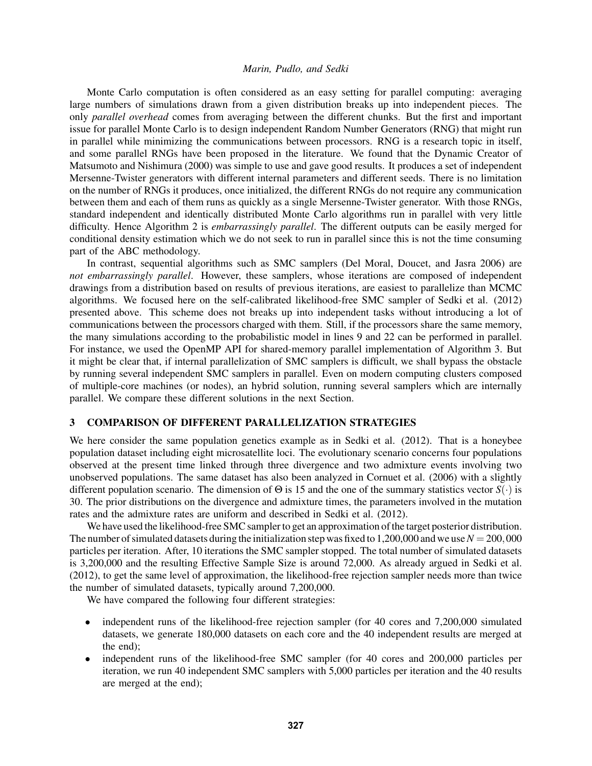Monte Carlo computation is often considered as an easy setting for parallel computing: averaging large numbers of simulations drawn from a given distribution breaks up into independent pieces. The only *parallel overhead* comes from averaging between the different chunks. But the first and important issue for parallel Monte Carlo is to design independent Random Number Generators (RNG) that might run in parallel while minimizing the communications between processors. RNG is a research topic in itself, and some parallel RNGs have been proposed in the literature. We found that the Dynamic Creator of Matsumoto and Nishimura (2000) was simple to use and gave good results. It produces a set of independent Mersenne-Twister generators with different internal parameters and different seeds. There is no limitation on the number of RNGs it produces, once initialized, the different RNGs do not require any communication between them and each of them runs as quickly as a single Mersenne-Twister generator. With those RNGs, standard independent and identically distributed Monte Carlo algorithms run in parallel with very little difficulty. Hence Algorithm 2 is *embarrassingly parallel*. The different outputs can be easily merged for conditional density estimation which we do not seek to run in parallel since this is not the time consuming part of the ABC methodology.

In contrast, sequential algorithms such as SMC samplers (Del Moral, Doucet, and Jasra 2006) are *not embarrassingly parallel*. However, these samplers, whose iterations are composed of independent drawings from a distribution based on results of previous iterations, are easiest to parallelize than MCMC algorithms. We focused here on the self-calibrated likelihood-free SMC sampler of Sedki et al. (2012) presented above. This scheme does not breaks up into independent tasks without introducing a lot of communications between the processors charged with them. Still, if the processors share the same memory, the many simulations according to the probabilistic model in lines 9 and 22 can be performed in parallel. For instance, we used the OpenMP API for shared-memory parallel implementation of Algorithm 3. But it might be clear that, if internal parallelization of SMC samplers is difficult, we shall bypass the obstacle by running several independent SMC samplers in parallel. Even on modern computing clusters composed of multiple-core machines (or nodes), an hybrid solution, running several samplers which are internally parallel. We compare these different solutions in the next Section.

# 3 COMPARISON OF DIFFERENT PARALLELIZATION STRATEGIES

We here consider the same population genetics example as in Sedki et al. (2012). That is a honeybee population dataset including eight microsatellite loci. The evolutionary scenario concerns four populations observed at the present time linked through three divergence and two admixture events involving two unobserved populations. The same dataset has also been analyzed in Cornuet et al. (2006) with a slightly different population scenario. The dimension of Θ is 15 and the one of the summary statistics vector *S*(·) is 30. The prior distributions on the divergence and admixture times, the parameters involved in the mutation rates and the admixture rates are uniform and described in Sedki et al. (2012).

We have used the likelihood-free SMC sampler to get an approximation of the target posterior distribution. The number of simulated datasets during the initialization step was fixed to 1,200,000 and we use  $N = 200,000$ particles per iteration. After, 10 iterations the SMC sampler stopped. The total number of simulated datasets is 3,200,000 and the resulting Effective Sample Size is around 72,000. As already argued in Sedki et al. (2012), to get the same level of approximation, the likelihood-free rejection sampler needs more than twice the number of simulated datasets, typically around 7,200,000.

We have compared the following four different strategies:

- independent runs of the likelihood-free rejection sampler (for 40 cores and 7,200,000 simulated datasets, we generate 180,000 datasets on each core and the 40 independent results are merged at the end);
- independent runs of the likelihood-free SMC sampler (for 40 cores and 200,000 particles per iteration, we run 40 independent SMC samplers with 5,000 particles per iteration and the 40 results are merged at the end);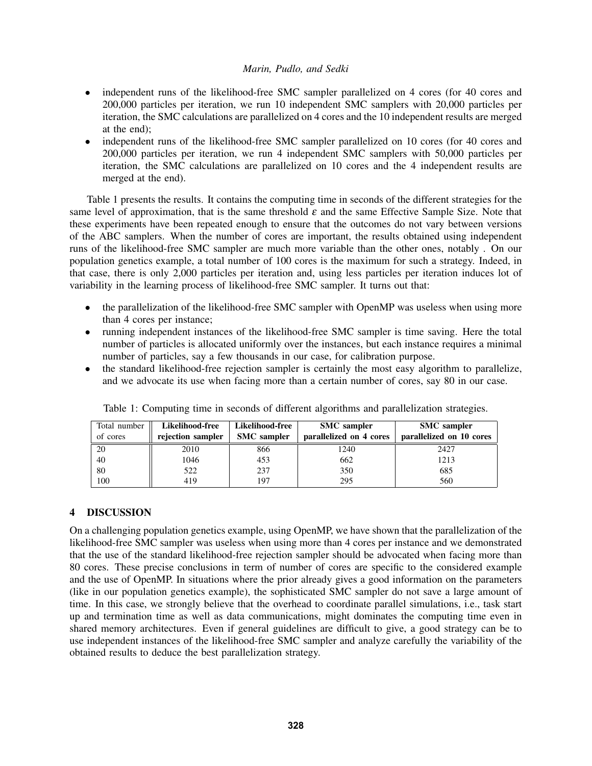- independent runs of the likelihood-free SMC sampler parallelized on 4 cores (for 40 cores and 200,000 particles per iteration, we run 10 independent SMC samplers with 20,000 particles per iteration, the SMC calculations are parallelized on 4 cores and the 10 independent results are merged at the end);
- independent runs of the likelihood-free SMC sampler parallelized on 10 cores (for 40 cores and 200,000 particles per iteration, we run 4 independent SMC samplers with 50,000 particles per iteration, the SMC calculations are parallelized on 10 cores and the 4 independent results are merged at the end).

Table 1 presents the results. It contains the computing time in seconds of the different strategies for the same level of approximation, that is the same threshold  $\varepsilon$  and the same Effective Sample Size. Note that these experiments have been repeated enough to ensure that the outcomes do not vary between versions of the ABC samplers. When the number of cores are important, the results obtained using independent runs of the likelihood-free SMC sampler are much more variable than the other ones, notably . On our population genetics example, a total number of 100 cores is the maximum for such a strategy. Indeed, in that case, there is only 2,000 particles per iteration and, using less particles per iteration induces lot of variability in the learning process of likelihood-free SMC sampler. It turns out that:

- the parallelization of the likelihood-free SMC sampler with OpenMP was useless when using more than 4 cores per instance;
- running independent instances of the likelihood-free SMC sampler is time saving. Here the total number of particles is allocated uniformly over the instances, but each instance requires a minimal number of particles, say a few thousands in our case, for calibration purpose.
- the standard likelihood-free rejection sampler is certainly the most easy algorithm to parallelize, and we advocate its use when facing more than a certain number of cores, say 80 in our case.

| Total number | Likelihood-free   | <b>Likelihood-free</b> | <b>SMC</b> sampler      | <b>SMC</b> sampler       |
|--------------|-------------------|------------------------|-------------------------|--------------------------|
| of cores     | rejection sampler | <b>SMC</b> sampler     | parallelized on 4 cores | parallelized on 10 cores |
| 20           | 2010              | 866                    | 1240                    | 2427                     |
| 40           | 1046              | 453                    | 662                     | 1213                     |
| 80           | 522               | 237                    | 350                     | 685                      |
| 100          | 419               | 197                    | 295                     | 560                      |

Table 1: Computing time in seconds of different algorithms and parallelization strategies.

# 4 DISCUSSION

On a challenging population genetics example, using OpenMP, we have shown that the parallelization of the likelihood-free SMC sampler was useless when using more than 4 cores per instance and we demonstrated that the use of the standard likelihood-free rejection sampler should be advocated when facing more than 80 cores. These precise conclusions in term of number of cores are specific to the considered example and the use of OpenMP. In situations where the prior already gives a good information on the parameters (like in our population genetics example), the sophisticated SMC sampler do not save a large amount of time. In this case, we strongly believe that the overhead to coordinate parallel simulations, i.e., task start up and termination time as well as data communications, might dominates the computing time even in shared memory architectures. Even if general guidelines are difficult to give, a good strategy can be to use independent instances of the likelihood-free SMC sampler and analyze carefully the variability of the obtained results to deduce the best parallelization strategy.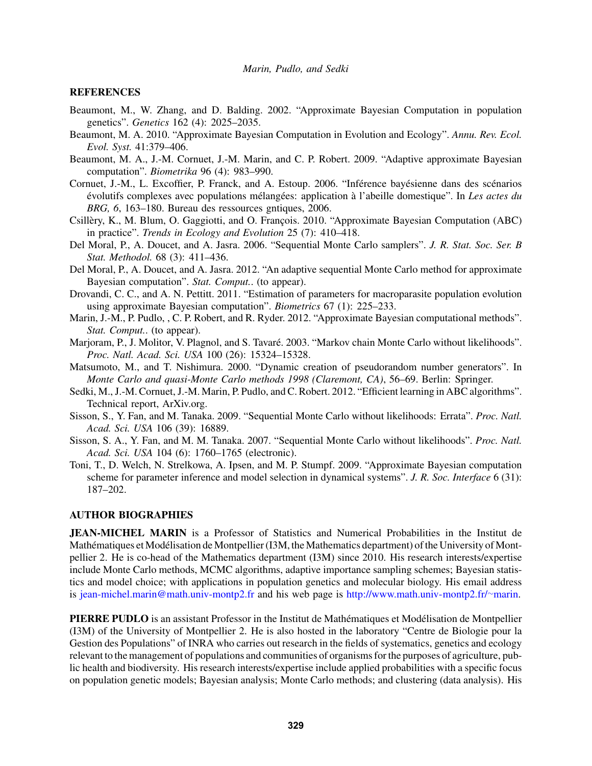#### **REFERENCES**

- Beaumont, M., W. Zhang, and D. Balding. 2002. "Approximate Bayesian Computation in population genetics". *Genetics* 162 (4): 2025–2035.
- Beaumont, M. A. 2010. "Approximate Bayesian Computation in Evolution and Ecology". *Annu. Rev. Ecol. Evol. Syst.* 41:379–406.
- Beaumont, M. A., J.-M. Cornuet, J.-M. Marin, and C. P. Robert. 2009. "Adaptive approximate Bayesian computation". *Biometrika* 96 (4): 983–990.
- Cornuet, J.-M., L. Excoffier, P. Franck, and A. Estoup. 2006. "Inférence bayésienne dans des scénarios évolutifs complexes avec populations mélangées: application à l'abeille domestique". In Les actes du *BRG, 6*, 163–180. Bureau des ressources gntiques, 2006.
- Csillèry, K., M. Blum, O. Gaggiotti, and O. François. 2010. "Approximate Bayesian Computation (ABC) in practice". *Trends in Ecology and Evolution* 25 (7): 410–418.
- Del Moral, P., A. Doucet, and A. Jasra. 2006. "Sequential Monte Carlo samplers". *J. R. Stat. Soc. Ser. B Stat. Methodol.* 68 (3): 411–436.
- Del Moral, P., A. Doucet, and A. Jasra. 2012. "An adaptive sequential Monte Carlo method for approximate Bayesian computation". *Stat. Comput.*. (to appear).
- Drovandi, C. C., and A. N. Pettitt. 2011. "Estimation of parameters for macroparasite population evolution using approximate Bayesian computation". *Biometrics* 67 (1): 225–233.
- Marin, J.-M., P. Pudlo, , C. P. Robert, and R. Ryder. 2012. "Approximate Bayesian computational methods". *Stat. Comput.*. (to appear).
- Marjoram, P., J. Molitor, V. Plagnol, and S. Tavaré. 2003. "Markov chain Monte Carlo without likelihoods". *Proc. Natl. Acad. Sci. USA* 100 (26): 15324–15328.
- Matsumoto, M., and T. Nishimura. 2000. "Dynamic creation of pseudorandom number generators". In *Monte Carlo and quasi-Monte Carlo methods 1998 (Claremont, CA)*, 56–69. Berlin: Springer.
- Sedki, M., J.-M. Cornuet, J.-M. Marin, P. Pudlo, and C. Robert. 2012. "Efficient learning in ABC algorithms". Technical report, ArXiv.org.
- Sisson, S., Y. Fan, and M. Tanaka. 2009. "Sequential Monte Carlo without likelihoods: Errata". *Proc. Natl. Acad. Sci. USA* 106 (39): 16889.
- Sisson, S. A., Y. Fan, and M. M. Tanaka. 2007. "Sequential Monte Carlo without likelihoods". *Proc. Natl. Acad. Sci. USA* 104 (6): 1760–1765 (electronic).
- Toni, T., D. Welch, N. Strelkowa, A. Ipsen, and M. P. Stumpf. 2009. "Approximate Bayesian computation scheme for parameter inference and model selection in dynamical systems". *J. R. Soc. Interface* 6 (31): 187–202.

#### AUTHOR BIOGRAPHIES

JEAN-MICHEL MARIN is a Professor of Statistics and Numerical Probabilities in the Institut de Mathématiques et Modélisation de Montpellier (I3M, the Mathematics department) of the University of Montpellier 2. He is co-head of the Mathematics department (I3M) since 2010. His research interests/expertise include Monte Carlo methods, MCMC algorithms, adaptive importance sampling schemes; Bayesian statistics and model choice; with applications in population genetics and molecular biology. His email address is jean-michel.marin@math.univ-montp2.fr and his web page is http://www.math.univ-montp2.fr/∼marin.

PIERRE PUDLO is an assistant Professor in the Institut de Mathématiques et Modélisation de Montpellier (I3M) of the University of Montpellier 2. He is also hosted in the laboratory "Centre de Biologie pour la Gestion des Populations" of INRA who carries out research in the fields of systematics, genetics and ecology relevant to the management of populations and communities of organisms for the purposes of agriculture, public health and biodiversity. His research interests/expertise include applied probabilities with a specific focus on population genetic models; Bayesian analysis; Monte Carlo methods; and clustering (data analysis). His